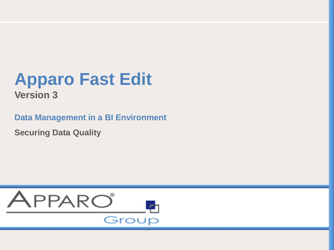#### **Apparo Fast E Data Management in a BI Environment in a BI Environment in a BI Environment in a BI Environment in a BI Environment in a BI Environment in a BI Environment in a BI Environment in a BI Environment in a BI Environment in a Mastertextformat bearbeiten Apparo Fast Edit**

**Data Management in a BI Environment** 

**Securing Data Quality**

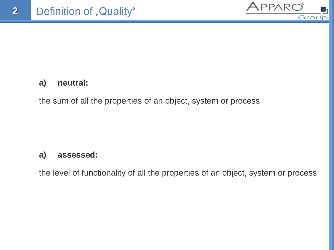

### **a) neutral:**

the sum of all the properties of an object, system or process

### **a) assessed:**

the level of functionality of all the properties of an object, system or process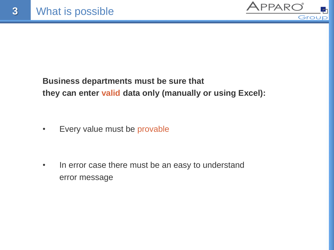

# **Business departments must be sure that they can enter valid data only (manually or using Excel):**

• Every value must be provable

• In error case there must be an easy to understand error message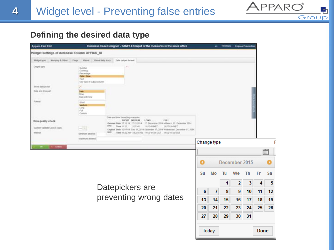

### **Defining the desired data type**

4

| <b>Appare Fast Edit</b>                                                    |                                                                                                                                                                                    |                                                                                              | Business Case Designer - SAMPLES input of the measures in the sales office                                                                                                                                                                                     |    |             | TESTING. |               | <b>Cognon Connectiv</b> |             |    |
|----------------------------------------------------------------------------|------------------------------------------------------------------------------------------------------------------------------------------------------------------------------------|----------------------------------------------------------------------------------------------|----------------------------------------------------------------------------------------------------------------------------------------------------------------------------------------------------------------------------------------------------------------|----|-------------|----------|---------------|-------------------------|-------------|----|
| Widget settings of database column OFFICE_ID                               |                                                                                                                                                                                    |                                                                                              |                                                                                                                                                                                                                                                                |    |             |          |               |                         |             |    |
| Mayping & Other<br>Windquit Sylphi                                         | Flegs Visual<br>Viewer bang brats:                                                                                                                                                 | Data network format:                                                                         |                                                                                                                                                                                                                                                                |    |             |          |               |                         |             |    |
| <b>CHAN NOW</b>                                                            | Number<br>Currenty).<br>Percentage<br>Date / Time<br>Test<br>Unit fight of public column                                                                                           |                                                                                              |                                                                                                                                                                                                                                                                |    |             |          |               |                         |             |    |
| Show date plcture                                                          |                                                                                                                                                                                    |                                                                                              |                                                                                                                                                                                                                                                                |    |             |          |               |                         |             |    |
| Date and firm part                                                         | Gwle<br>Tiese<br>Colo with time                                                                                                                                                    |                                                                                              |                                                                                                                                                                                                                                                                |    |             |          |               |                         |             |    |
| Format                                                                     | <b>breat</b><br>Medium<br><b>Long</b><br>Full<br>Contacts                                                                                                                          |                                                                                              |                                                                                                                                                                                                                                                                |    |             |          |               |                         |             |    |
| Data quality check<br>Controll validator Jack 6 (San)<br><b>Editorical</b> | $\frac{1}{2} \left[ \begin{array}{c} 0 \\ 0 \\ 0 \\ 0 \end{array} \right] = \frac{1}{2} \left[ \begin{array}{c} 0 \\ 0 \\ 0 \\ 0 \\ 0 \end{array} \right]$<br>Melihurit addieselt. | Cuite and time formatting examples:<br>SHORT MEDIAN LONG<br>000 Time 1132 1132 41 1132 41162 | FIAL<br>German Date 17.12.14 17.12.2014 17. December 2014 Millwork, 17. December 2014.<br>T1 52 Uhr MEZ<br>Einglish Delle 12/17/14 Das 17, 2014 December 17, 2014 Wednesday, December 17, 2014.<br>840 Time 1112 AM 1132 AT AM 1132 AT AM CET . 1132 AT AM CET |    |             |          |               |                         |             |    |
|                                                                            | Maxmunt Allisadd                                                                                                                                                                   |                                                                                              |                                                                                                                                                                                                                                                                |    | Change type |          |               |                         |             |    |
| CANCIL                                                                     |                                                                                                                                                                                    |                                                                                              |                                                                                                                                                                                                                                                                |    |             |          |               |                         |             |    |
|                                                                            |                                                                                                                                                                                    |                                                                                              |                                                                                                                                                                                                                                                                |    |             |          |               |                         |             | Ë  |
|                                                                            |                                                                                                                                                                                    |                                                                                              |                                                                                                                                                                                                                                                                |    |             |          | December 2015 |                         |             |    |
|                                                                            |                                                                                                                                                                                    |                                                                                              |                                                                                                                                                                                                                                                                | Su | Mo          | Tu       | We            | Th                      | Fг          | Sa |
|                                                                            |                                                                                                                                                                                    |                                                                                              |                                                                                                                                                                                                                                                                |    |             | 1        | 2             | 3                       | 4           | 5  |
|                                                                            |                                                                                                                                                                                    | Datepickers are                                                                              |                                                                                                                                                                                                                                                                | 6  | 7           | 8        | 9             | 10                      | 11          | 12 |
|                                                                            |                                                                                                                                                                                    | preventing wrong dates                                                                       |                                                                                                                                                                                                                                                                | 13 | 14          | 15       | 16            | 17                      | 18          | 19 |
|                                                                            |                                                                                                                                                                                    |                                                                                              |                                                                                                                                                                                                                                                                | 20 | 21          | 22       | 23            | 24                      | 25          | 26 |
|                                                                            |                                                                                                                                                                                    |                                                                                              |                                                                                                                                                                                                                                                                |    |             |          |               |                         |             |    |
|                                                                            |                                                                                                                                                                                    |                                                                                              |                                                                                                                                                                                                                                                                | 27 | 28          | 29       | 30            | 31                      |             |    |
|                                                                            |                                                                                                                                                                                    |                                                                                              |                                                                                                                                                                                                                                                                |    | Today       |          |               |                         | <b>Done</b> |    |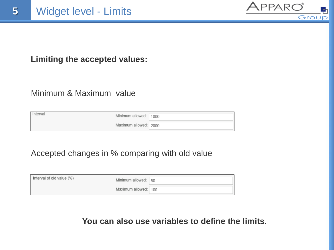

### **Limiting the accepted values:**

### Minimum & Maximum value

| Interval | Minimum allowed: 1000 |  |
|----------|-----------------------|--|
|          | Maximum allowed: 2000 |  |

## Accepted changes in % comparing with old value

| Interval of old value (%) | Minimum allowed: 50  |  |
|---------------------------|----------------------|--|
|                           | Maximum allowed: 100 |  |

### **You can also use variables to define the limits.**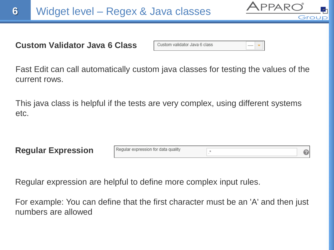

### **Custom Validator Java 6 Class**

Custom validator Java 6 class

Fast Edit can call automatically custom java classes for testing the values of the current rows.

This java class is helpful if the tests are very complex, using different systems etc.

| <b>Regular Expression</b> | Regular expression for data quality |  |
|---------------------------|-------------------------------------|--|

Regular expression are helpful to define more complex input rules.

For example: You can define that the first character must be an 'A' and then just numbers are allowed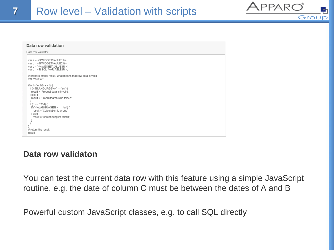| Data row validation                                                                                                                                                                                                                                                                                           |  |  |  |
|---------------------------------------------------------------------------------------------------------------------------------------------------------------------------------------------------------------------------------------------------------------------------------------------------------------|--|--|--|
| Data row validator                                                                                                                                                                                                                                                                                            |  |  |  |
| var a = <%WIDGETVALUE1%>;<br>var b = <%WIDGETVALUE2%>;<br>var c = '<%WIDGETVALUE3%>';<br>var d = <%SQL_VARIABLE1%>;                                                                                                                                                                                           |  |  |  |
| // prepare empty result, what means that row data is valid<br>var result = ";                                                                                                                                                                                                                                 |  |  |  |
| if (c != 'A' && a > b) {<br>if ('<%LANGUAGE%>' == 'en') {<br>result = 'Product data is invalid';<br>$\}$ else $\{$<br>result = 'Produktdaten sind falsch';<br>if (d == $1234$ ) {<br>if ('<%LANGUAGE%>' == 'en') {<br>result = 'Calculation is wrong';<br>$\}$ else $\{$<br>result = 'Berechnung ist falsch'; |  |  |  |
| // return the result<br>result:                                                                                                                                                                                                                                                                               |  |  |  |

#### **Data row validaton**

You can test the current data row with this feature using a simple JavaScript routine, e.g. the date of column C must be between the dates of A and B

APPARO

Caro

Powerful custom JavaScript classes, e.g. to call SQL directly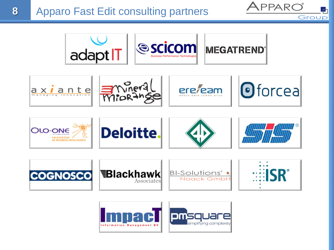